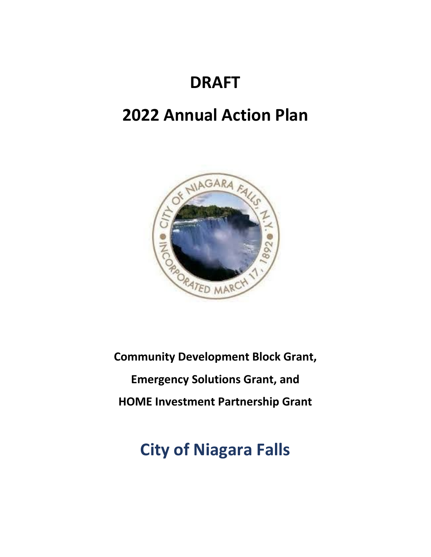# **DRAFT**

# **2022 Annual Action Plan**



**Community Development Block Grant, Emergency Solutions Grant, and HOME Investment Partnership Grant**

# **City of Niagara Falls**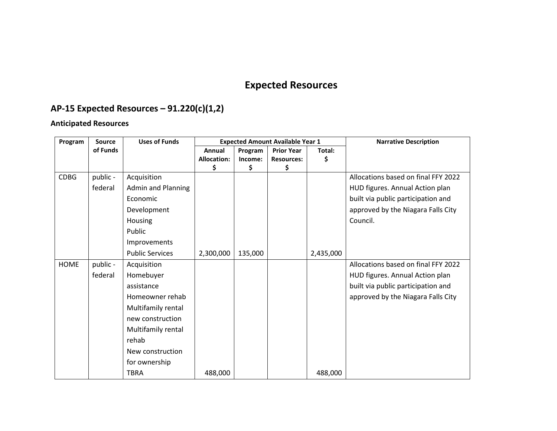# **Expected Resources**

# **AP-15 Expected Resources – 91.220(c)(1,2)**

## **Anticipated Resources**

| Program     | <b>Source</b> | <b>Uses of Funds</b>      | <b>Expected Amount Available Year 1</b> |         |                   | <b>Narrative Description</b> |                                     |
|-------------|---------------|---------------------------|-----------------------------------------|---------|-------------------|------------------------------|-------------------------------------|
|             | of Funds      |                           | Annual                                  | Program | <b>Prior Year</b> | Total:                       |                                     |
|             |               |                           | <b>Allocation:</b>                      | Income: | <b>Resources:</b> |                              |                                     |
|             |               |                           | \$.                                     | \$      | \$                |                              |                                     |
| <b>CDBG</b> | public -      | Acquisition               |                                         |         |                   |                              | Allocations based on final FFY 2022 |
|             | federal       | <b>Admin and Planning</b> |                                         |         |                   |                              | HUD figures. Annual Action plan     |
|             |               | Economic                  |                                         |         |                   |                              | built via public participation and  |
|             |               | Development               |                                         |         |                   |                              | approved by the Niagara Falls City  |
|             |               | Housing                   |                                         |         |                   |                              | Council.                            |
|             |               | Public                    |                                         |         |                   |                              |                                     |
|             |               | Improvements              |                                         |         |                   |                              |                                     |
|             |               | <b>Public Services</b>    | 2,300,000                               | 135,000 |                   | 2,435,000                    |                                     |
| <b>HOME</b> | public -      | Acquisition               |                                         |         |                   |                              | Allocations based on final FFY 2022 |
|             | federal       | Homebuyer                 |                                         |         |                   |                              | HUD figures. Annual Action plan     |
|             |               | assistance                |                                         |         |                   |                              | built via public participation and  |
|             |               | Homeowner rehab           |                                         |         |                   |                              | approved by the Niagara Falls City  |
|             |               | Multifamily rental        |                                         |         |                   |                              |                                     |
|             |               | new construction          |                                         |         |                   |                              |                                     |
|             |               | Multifamily rental        |                                         |         |                   |                              |                                     |
|             |               | rehab                     |                                         |         |                   |                              |                                     |
|             |               | New construction          |                                         |         |                   |                              |                                     |
|             |               | for ownership             |                                         |         |                   |                              |                                     |
|             |               | <b>TBRA</b>               | 488,000                                 |         |                   | 488,000                      |                                     |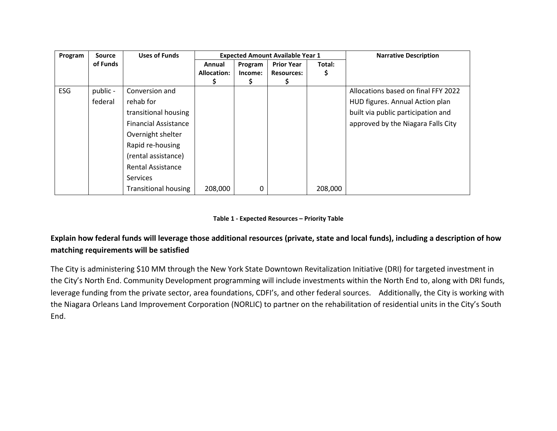| Program | <b>Source</b> | <b>Uses of Funds</b>        | <b>Expected Amount Available Year 1</b> |         |                   |         | <b>Narrative Description</b>        |
|---------|---------------|-----------------------------|-----------------------------------------|---------|-------------------|---------|-------------------------------------|
|         | of Funds      |                             | Annual                                  | Program | <b>Prior Year</b> | Total:  |                                     |
|         |               |                             | Allocation:                             | Income: | <b>Resources:</b> | s       |                                     |
|         |               |                             |                                         | s       | S.                |         |                                     |
| ESG     | public -      | Conversion and              |                                         |         |                   |         | Allocations based on final FFY 2022 |
|         | federal       | rehab for                   |                                         |         |                   |         | HUD figures. Annual Action plan     |
|         |               | transitional housing        |                                         |         |                   |         | built via public participation and  |
|         |               | <b>Financial Assistance</b> |                                         |         |                   |         | approved by the Niagara Falls City  |
|         |               | Overnight shelter           |                                         |         |                   |         |                                     |
|         |               | Rapid re-housing            |                                         |         |                   |         |                                     |
|         |               | (rental assistance)         |                                         |         |                   |         |                                     |
|         |               | <b>Rental Assistance</b>    |                                         |         |                   |         |                                     |
|         |               | <b>Services</b>             |                                         |         |                   |         |                                     |
|         |               | <b>Transitional housing</b> | 208,000                                 | 0       |                   | 208,000 |                                     |

#### **Table 1 - Expected Resources – Priority Table**

### **Explain how federal funds will leverage those additional resources (private, state and local funds), including a description of how matching requirements will be satisfied**

The City is administering \$10 MM through the New York State Downtown Revitalization Initiative (DRI) for targeted investment in the City's North End. Community Development programming will include investments within the North End to, along with DRI funds, leverage funding from the private sector, area foundations, CDFI's, and other federal sources. Additionally, the City is working with the Niagara Orleans Land Improvement Corporation (NORLIC) to partner on the rehabilitation of residential units in the City's South End.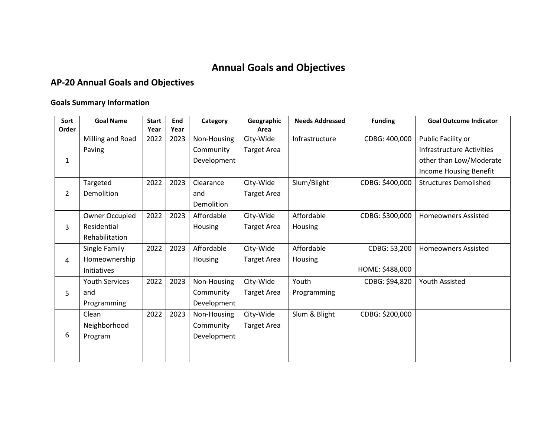# **Annual Goals and Objectives**

# **AP-20 Annual Goals and Objectives**

#### **Goals Summary Information**

| Sort           | <b>Goal Name</b>      | <b>Start</b> | End  | Category    | Geographic         | <b>Needs Addressed</b> | <b>Funding</b>  | <b>Goal Outcome Indicator</b> |
|----------------|-----------------------|--------------|------|-------------|--------------------|------------------------|-----------------|-------------------------------|
| Order          |                       | Year         | Year |             | Area               |                        |                 |                               |
|                | Milling and Road      | 2022         | 2023 | Non-Housing | City-Wide          | Infrastructure         | CDBG: 400,000   | Public Facility or            |
|                | Paving                |              |      | Community   | <b>Target Area</b> |                        |                 | Infrastructure Activities     |
| $\mathbf{1}$   |                       |              |      | Development |                    |                        |                 | other than Low/Moderate       |
|                |                       |              |      |             |                    |                        |                 | Income Housing Benefit        |
|                | Targeted              | 2022         | 2023 | Clearance   | City-Wide          | Slum/Blight            | CDBG: \$400,000 | <b>Structures Demolished</b>  |
| $\overline{2}$ | Demolition            |              |      | and         | <b>Target Area</b> |                        |                 |                               |
|                |                       |              |      | Demolition  |                    |                        |                 |                               |
|                | Owner Occupied        | 2022         | 2023 | Affordable  | City-Wide          | Affordable             | CDBG: \$300,000 | <b>Homeowners Assisted</b>    |
| 3              | Residential           |              |      | Housing     | <b>Target Area</b> | Housing                |                 |                               |
|                | Rehabilitation        |              |      |             |                    |                        |                 |                               |
|                | Single Family         | 2022         | 2023 | Affordable  | City-Wide          | Affordable             | CDBG: 53,200    | <b>Homeowners Assisted</b>    |
| 4              | Homeownership         |              |      | Housing     | <b>Target Area</b> | Housing                |                 |                               |
|                | Initiatives           |              |      |             |                    |                        | HOME: \$488,000 |                               |
|                | <b>Youth Services</b> | 2022         | 2023 | Non-Housing | City-Wide          | Youth                  | CDBG: \$94,820  | <b>Youth Assisted</b>         |
| 5              | and                   |              |      | Community   | <b>Target Area</b> | Programming            |                 |                               |
|                | Programming           |              |      | Development |                    |                        |                 |                               |
|                | Clean                 | 2022         | 2023 | Non-Housing | City-Wide          | Slum & Blight          | CDBG: \$200,000 |                               |
|                | Neighborhood          |              |      | Community   | <b>Target Area</b> |                        |                 |                               |
| 6              | Program               |              |      | Development |                    |                        |                 |                               |
|                |                       |              |      |             |                    |                        |                 |                               |
|                |                       |              |      |             |                    |                        |                 |                               |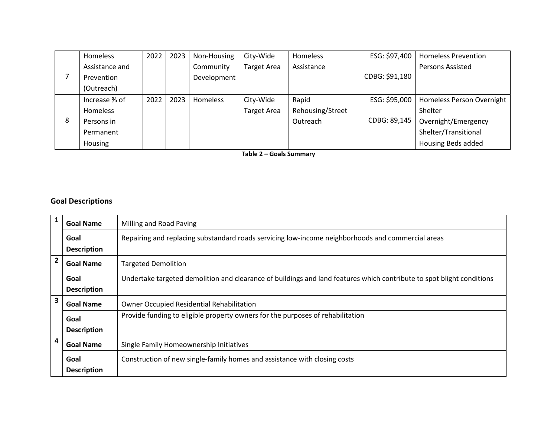|   | <b>Homeless</b> | 2022 | 2023 | Non-Housing     | City-Wide          | Homeless         | ESG: \$97,400  | <b>Homeless Prevention</b> |
|---|-----------------|------|------|-----------------|--------------------|------------------|----------------|----------------------------|
|   | Assistance and  |      |      | Community       | Target Area        | Assistance       |                | <b>Persons Assisted</b>    |
|   | Prevention      |      |      | Development     |                    |                  | CDBG: \$91,180 |                            |
|   | (Outreach)      |      |      |                 |                    |                  |                |                            |
|   | Increase % of   | 2022 | 2023 | <b>Homeless</b> | City-Wide          | Rapid            | ESG: \$95,000  | Homeless Person Overnight  |
|   | Homeless        |      |      |                 | <b>Target Area</b> | Rehousing/Street |                | Shelter                    |
| 8 | Persons in      |      |      |                 |                    | Outreach         | CDBG: 89,145   | Overnight/Emergency        |
|   | Permanent       |      |      |                 |                    |                  |                | Shelter/Transitional       |
|   | Housing         |      |      |                 |                    |                  |                | <b>Housing Beds added</b>  |

**Table 2 – Goals Summary**

#### **Goal Descriptions**

| $\mathbf{1}$            | <b>Goal Name</b>   | Milling and Road Paving                                                                                               |
|-------------------------|--------------------|-----------------------------------------------------------------------------------------------------------------------|
|                         | Goal               | Repairing and replacing substandard roads servicing low-income neighborhoods and commercial areas                     |
|                         | <b>Description</b> |                                                                                                                       |
| $\overline{2}$          | <b>Goal Name</b>   | <b>Targeted Demolition</b>                                                                                            |
|                         | Goal               | Undertake targeted demolition and clearance of buildings and land features which contribute to spot blight conditions |
|                         | <b>Description</b> |                                                                                                                       |
| $\overline{\mathbf{3}}$ | <b>Goal Name</b>   | Owner Occupied Residential Rehabilitation                                                                             |
|                         | Goal               | Provide funding to eligible property owners for the purposes of rehabilitation                                        |
|                         | <b>Description</b> |                                                                                                                       |
| 4                       | <b>Goal Name</b>   | Single Family Homeownership Initiatives                                                                               |
|                         | Goal               | Construction of new single-family homes and assistance with closing costs                                             |
|                         | <b>Description</b> |                                                                                                                       |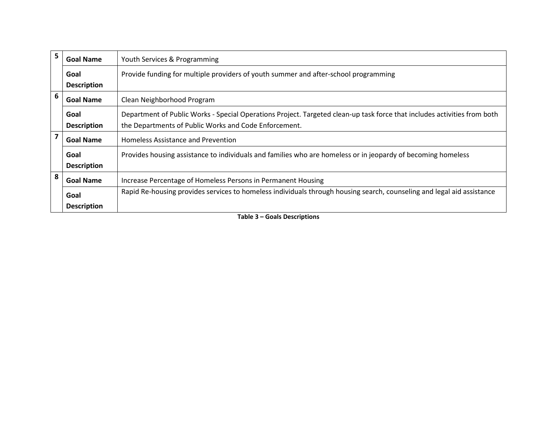| 5. | <b>Goal Name</b>   | Youth Services & Programming                                                                                             |
|----|--------------------|--------------------------------------------------------------------------------------------------------------------------|
|    | Goal               | Provide funding for multiple providers of youth summer and after-school programming                                      |
|    | <b>Description</b> |                                                                                                                          |
| 6  | <b>Goal Name</b>   | Clean Neighborhood Program                                                                                               |
|    | Goal               | Department of Public Works - Special Operations Project. Targeted clean-up task force that includes activities from both |
|    | <b>Description</b> | the Departments of Public Works and Code Enforcement.                                                                    |
| 7  | <b>Goal Name</b>   | Homeless Assistance and Prevention                                                                                       |
|    | Goal               | Provides housing assistance to individuals and families who are homeless or in jeopardy of becoming homeless             |
|    | <b>Description</b> |                                                                                                                          |
| 8  | <b>Goal Name</b>   | Increase Percentage of Homeless Persons in Permanent Housing                                                             |
|    | Goal               | Rapid Re-housing provides services to homeless individuals through housing search, counseling and legal aid assistance   |
|    | <b>Description</b> |                                                                                                                          |

**Table 3 – Goals Descriptions**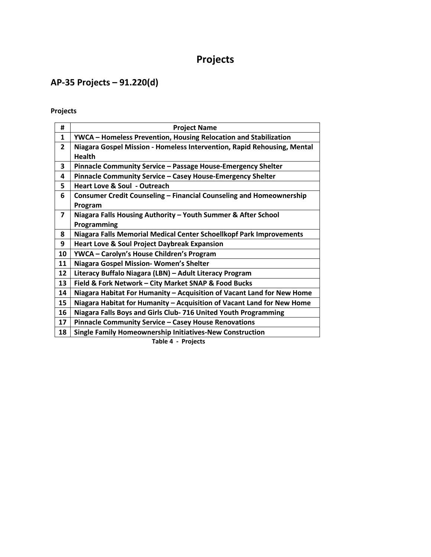# **Projects**

# **AP-35 Projects – 91.220(d)**

### **Projects**

| #              | <b>Project Name</b>                                                                      |
|----------------|------------------------------------------------------------------------------------------|
| 1              | <b>YWCA - Homeless Prevention, Housing Relocation and Stabilization</b>                  |
| $\overline{2}$ | Niagara Gospel Mission - Homeless Intervention, Rapid Rehousing, Mental<br><b>Health</b> |
| 3              | Pinnacle Community Service - Passage House-Emergency Shelter                             |
| 4              | Pinnacle Community Service - Casey House-Emergency Shelter                               |
| 5              | <b>Heart Love &amp; Soul - Outreach</b>                                                  |
| 6              | Consumer Credit Counseling - Financial Counseling and Homeownership<br>Program           |
| $\overline{7}$ | Niagara Falls Housing Authority - Youth Summer & After School<br>Programming             |
| 8              | Niagara Falls Memorial Medical Center Schoellkopf Park Improvements                      |
| 9              | <b>Heart Love &amp; Soul Project Daybreak Expansion</b>                                  |
| 10             | YWCA - Carolyn's House Children's Program                                                |
| 11             | Niagara Gospel Mission-Women's Shelter                                                   |
| 12             | Literacy Buffalo Niagara (LBN) - Adult Literacy Program                                  |
| 13             | Field & Fork Network - City Market SNAP & Food Bucks                                     |
| 14             | Niagara Habitat For Humanity - Acquisition of Vacant Land for New Home                   |
| 15             | Niagara Habitat for Humanity - Acquisition of Vacant Land for New Home                   |
| 16             | Niagara Falls Boys and Girls Club- 716 United Youth Programming                          |
| 17             | Pinnacle Community Service - Casey House Renovations                                     |
| 18             | <b>Single Family Homeownership Initiatives-New Construction</b>                          |

**Table 4 - Projects**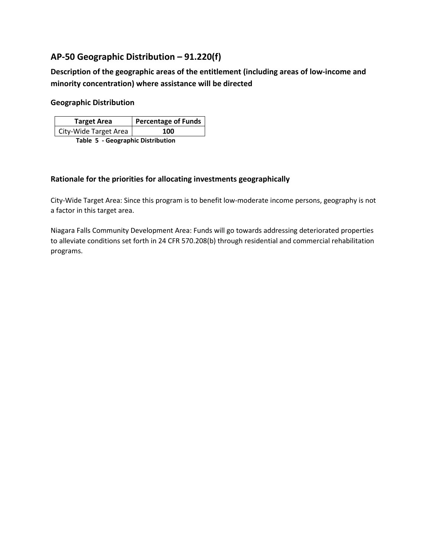### **AP-50 Geographic Distribution – 91.220(f)**

**Description of the geographic areas of the entitlement (including areas of low-income and minority concentration) where assistance will be directed** 

#### **Geographic Distribution**

| <b>Target Area</b>                | Percentage of Funds |  |  |  |
|-----------------------------------|---------------------|--|--|--|
| City-Wide Target Area             | 100                 |  |  |  |
| Table 5 - Geographic Distribution |                     |  |  |  |

#### **Rationale for the priorities for allocating investments geographically**

City-Wide Target Area: Since this program is to benefit low-moderate income persons, geography is not a factor in this target area.

Niagara Falls Community Development Area: Funds will go towards addressing deteriorated properties to alleviate conditions set forth in 24 CFR 570.208(b) through residential and commercial rehabilitation programs.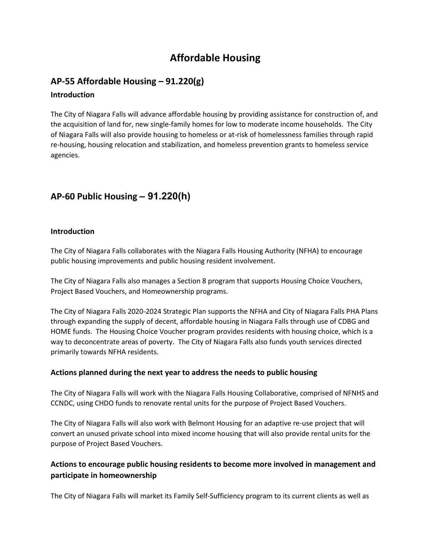## **Affordable Housing**

# **AP-55 Affordable Housing – 91.220(g)**

#### **Introduction**

The City of Niagara Falls will advance affordable housing by providing assistance for construction of, and the acquisition of land for, new single-family homes for low to moderate income households. The City of Niagara Falls will also provide housing to homeless or at-risk of homelessness families through rapid re-housing, housing relocation and stabilization, and homeless prevention grants to homeless service agencies.

### **AP-60 Public Housing** *–* **91.220(h)**

#### **Introduction**

The City of Niagara Falls collaborates with the Niagara Falls Housing Authority (NFHA) to encourage public housing improvements and public housing resident involvement.

The City of Niagara Falls also manages a Section 8 program that supports Housing Choice Vouchers, Project Based Vouchers, and Homeownership programs.

The City of Niagara Falls 2020-2024 Strategic Plan supports the NFHA and City of Niagara Falls PHA Plans through expanding the supply of decent, affordable housing in Niagara Falls through use of CDBG and HOME funds. The Housing Choice Voucher program provides residents with housing choice, which is a way to deconcentrate areas of poverty. The City of Niagara Falls also funds youth services directed primarily towards NFHA residents.

#### **Actions planned during the next year to address the needs to public housing**

The City of Niagara Falls will work with the Niagara Falls Housing Collaborative, comprised of NFNHS and CCNDC, using CHDO funds to renovate rental units for the purpose of Project Based Vouchers.

The City of Niagara Falls will also work with Belmont Housing for an adaptive re-use project that will convert an unused private school into mixed income housing that will also provide rental units for the purpose of Project Based Vouchers.

#### **Actions to encourage public housing residents to become more involved in management and participate in homeownership**

The City of Niagara Falls will market its Family Self-Sufficiency program to its current clients as well as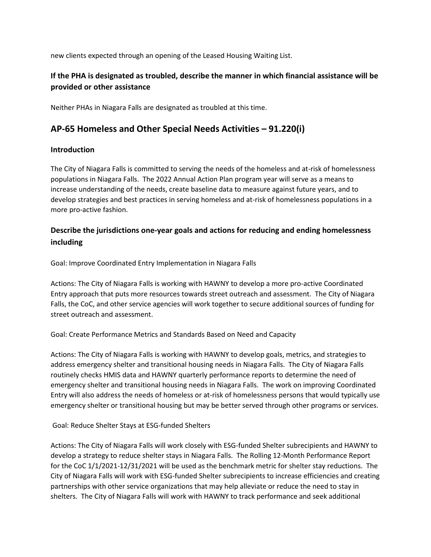new clients expected through an opening of the Leased Housing Waiting List.

#### **If the PHA is designated as troubled, describe the manner in which financial assistance will be provided or other assistance**

Neither PHAs in Niagara Falls are designated as troubled at this time.

### **AP-65 Homeless and Other Special Needs Activities – 91.220(i)**

#### **Introduction**

The City of Niagara Falls is committed to serving the needs of the homeless and at-risk of homelessness populations in Niagara Falls. The 2022 Annual Action Plan program year will serve as a means to increase understanding of the needs, create baseline data to measure against future years, and to develop strategies and best practices in serving homeless and at-risk of homelessness populations in a more pro-active fashion.

#### **Describe the jurisdictions one-year goals and actions for reducing and ending homelessness including**

Goal: Improve Coordinated Entry Implementation in Niagara Falls

Actions: The City of Niagara Falls is working with HAWNY to develop a more pro-active Coordinated Entry approach that puts more resources towards street outreach and assessment. The City of Niagara Falls, the CoC, and other service agencies will work together to secure additional sources of funding for street outreach and assessment.

Goal: Create Performance Metrics and Standards Based on Need and Capacity

Actions: The City of Niagara Falls is working with HAWNY to develop goals, metrics, and strategies to address emergency shelter and transitional housing needs in Niagara Falls. The City of Niagara Falls routinely checks HMIS data and HAWNY quarterly performance reports to determine the need of emergency shelter and transitional housing needs in Niagara Falls. The work on improving Coordinated Entry will also address the needs of homeless or at-risk of homelessness persons that would typically use emergency shelter or transitional housing but may be better served through other programs or services.

Goal: Reduce Shelter Stays at ESG-funded Shelters

Actions: The City of Niagara Falls will work closely with ESG-funded Shelter subrecipients and HAWNY to develop a strategy to reduce shelter stays in Niagara Falls. The Rolling 12-Month Performance Report for the CoC 1/1/2021-12/31/2021 will be used as the benchmark metric for shelter stay reductions. The City of Niagara Falls will work with ESG-funded Shelter subrecipients to increase efficiencies and creating partnerships with other service organizations that may help alleviate or reduce the need to stay in shelters. The City of Niagara Falls will work with HAWNY to track performance and seek additional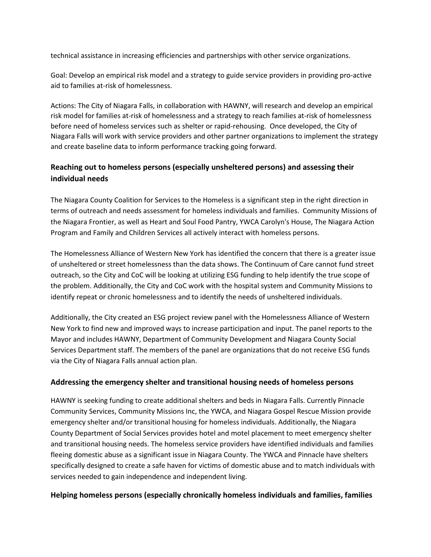technical assistance in increasing efficiencies and partnerships with other service organizations.

Goal: Develop an empirical risk model and a strategy to guide service providers in providing pro-active aid to families at-risk of homelessness.

Actions: The City of Niagara Falls, in collaboration with HAWNY, will research and develop an empirical risk model for families at-risk of homelessness and a strategy to reach families at-risk of homelessness before need of homeless services such as shelter or rapid-rehousing. Once developed, the City of Niagara Falls will work with service providers and other partner organizations to implement the strategy and create baseline data to inform performance tracking going forward.

#### **Reaching out to homeless persons (especially unsheltered persons) and assessing their individual needs**

The Niagara County Coalition for Services to the Homeless is a significant step in the right direction in terms of outreach and needs assessment for homeless individuals and families. Community Missions of the Niagara Frontier, as well as Heart and Soul Food Pantry, YWCA Carolyn's House, The Niagara Action Program and Family and Children Services all actively interact with homeless persons.

The Homelessness Alliance of Western New York has identified the concern that there is a greater issue of unsheltered or street homelessness than the data shows. The Continuum of Care cannot fund street outreach, so the City and CoC will be looking at utilizing ESG funding to help identify the true scope of the problem. Additionally, the City and CoC work with the hospital system and Community Missions to identify repeat or chronic homelessness and to identify the needs of unsheltered individuals.

Additionally, the City created an ESG project review panel with the Homelessness Alliance of Western New York to find new and improved ways to increase participation and input. The panel reports to the Mayor and includes HAWNY, Department of Community Development and Niagara County Social Services Department staff. The members of the panel are organizations that do not receive ESG funds via the City of Niagara Falls annual action plan.

#### **Addressing the emergency shelter and transitional housing needs of homeless persons**

HAWNY is seeking funding to create additional shelters and beds in Niagara Falls. Currently Pinnacle Community Services, Community Missions Inc, the YWCA, and Niagara Gospel Rescue Mission provide emergency shelter and/or transitional housing for homeless individuals. Additionally, the Niagara County Department of Social Services provides hotel and motel placement to meet emergency shelter and transitional housing needs. The homeless service providers have identified individuals and families fleeing domestic abuse as a significant issue in Niagara County. The YWCA and Pinnacle have shelters specifically designed to create a safe haven for victims of domestic abuse and to match individuals with services needed to gain independence and independent living.

#### **Helping homeless persons (especially chronically homeless individuals and families, families**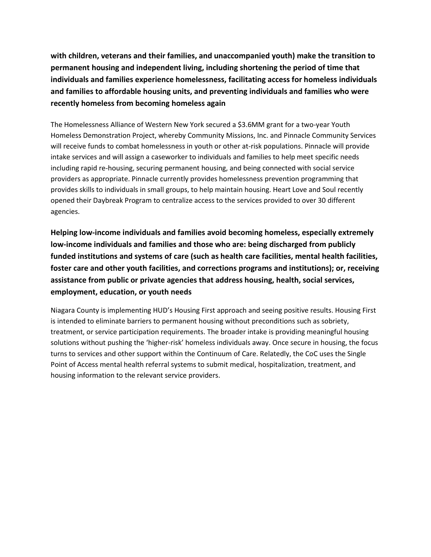**with children, veterans and their families, and unaccompanied youth) make the transition to permanent housing and independent living, including shortening the period of time that individuals and families experience homelessness, facilitating access for homeless individuals and families to affordable housing units, and preventing individuals and families who were recently homeless from becoming homeless again**

The Homelessness Alliance of Western New York secured a \$3.6MM grant for a two-year Youth Homeless Demonstration Project, whereby Community Missions, Inc. and Pinnacle Community Services will receive funds to combat homelessness in youth or other at-risk populations. Pinnacle will provide intake services and will assign a caseworker to individuals and families to help meet specific needs including rapid re-housing, securing permanent housing, and being connected with social service providers as appropriate. Pinnacle currently provides homelessness prevention programming that provides skills to individuals in small groups, to help maintain housing. Heart Love and Soul recently opened their Daybreak Program to centralize access to the services provided to over 30 different agencies.

**Helping low-income individuals and families avoid becoming homeless, especially extremely low-income individuals and families and those who are: being discharged from publicly funded institutions and systems of care (such as health care facilities, mental health facilities, foster care and other youth facilities, and corrections programs and institutions); or, receiving assistance from public or private agencies that address housing, health, social services, employment, education, or youth needs**

Niagara County is implementing HUD's Housing First approach and seeing positive results. Housing First is intended to eliminate barriers to permanent housing without preconditions such as sobriety, treatment, or service participation requirements. The broader intake is providing meaningful housing solutions without pushing the 'higher-risk' homeless individuals away. Once secure in housing, the focus turns to services and other support within the Continuum of Care. Relatedly, the CoC uses the Single Point of Access mental health referral systems to submit medical, hospitalization, treatment, and housing information to the relevant service providers.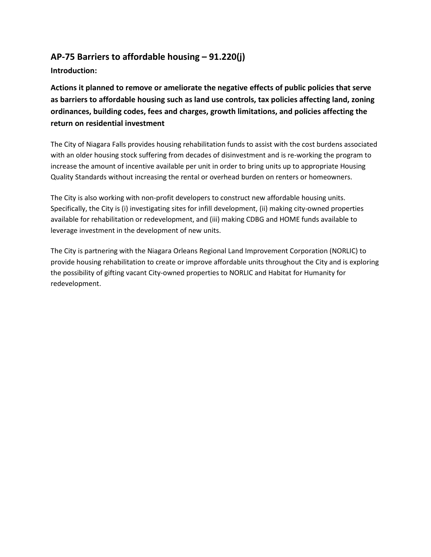### **AP-75 Barriers to affordable housing – 91.220(j)**

**Introduction:** 

**Actions it planned to remove or ameliorate the negative effects of public policies that serve as barriers to affordable housing such as land use controls, tax policies affecting land, zoning ordinances, building codes, fees and charges, growth limitations, and policies affecting the return on residential investment**

The City of Niagara Falls provides housing rehabilitation funds to assist with the cost burdens associated with an older housing stock suffering from decades of disinvestment and is re-working the program to increase the amount of incentive available per unit in order to bring units up to appropriate Housing Quality Standards without increasing the rental or overhead burden on renters or homeowners.

The City is also working with non-profit developers to construct new affordable housing units. Specifically, the City is (i) investigating sites for infill development, (ii) making city-owned properties available for rehabilitation or redevelopment, and (iii) making CDBG and HOME funds available to leverage investment in the development of new units.

The City is partnering with the Niagara Orleans Regional Land Improvement Corporation (NORLIC) to provide housing rehabilitation to create or improve affordable units throughout the City and is exploring the possibility of gifting vacant City-owned properties to NORLIC and Habitat for Humanity for redevelopment.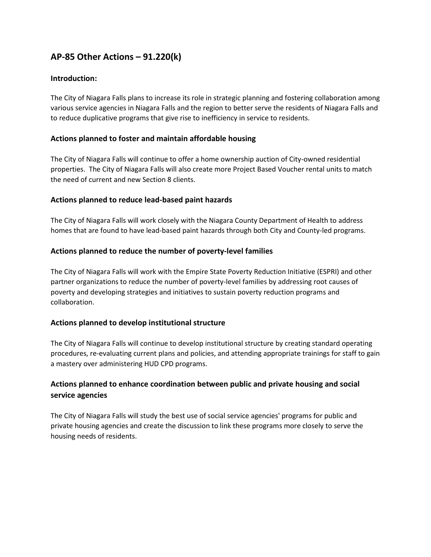### **AP-85 Other Actions – 91.220(k)**

#### **Introduction:**

The City of Niagara Falls plans to increase its role in strategic planning and fostering collaboration among various service agencies in Niagara Falls and the region to better serve the residents of Niagara Falls and to reduce duplicative programs that give rise to inefficiency in service to residents.

#### **Actions planned to foster and maintain affordable housing**

The City of Niagara Falls will continue to offer a home ownership auction of City-owned residential properties. The City of Niagara Falls will also create more Project Based Voucher rental units to match the need of current and new Section 8 clients.

#### **Actions planned to reduce lead-based paint hazards**

The City of Niagara Falls will work closely with the Niagara County Department of Health to address homes that are found to have lead-based paint hazards through both City and County-led programs.

#### **Actions planned to reduce the number of poverty-level families**

The City of Niagara Falls will work with the Empire State Poverty Reduction Initiative (ESPRI) and other partner organizations to reduce the number of poverty-level families by addressing root causes of poverty and developing strategies and initiatives to sustain poverty reduction programs and collaboration.

#### **Actions planned to develop institutional structure**

The City of Niagara Falls will continue to develop institutional structure by creating standard operating procedures, re-evaluating current plans and policies, and attending appropriate trainings for staff to gain a mastery over administering HUD CPD programs.

#### **Actions planned to enhance coordination between public and private housing and social service agencies**

The City of Niagara Falls will study the best use of social service agencies' programs for public and private housing agencies and create the discussion to link these programs more closely to serve the housing needs of residents.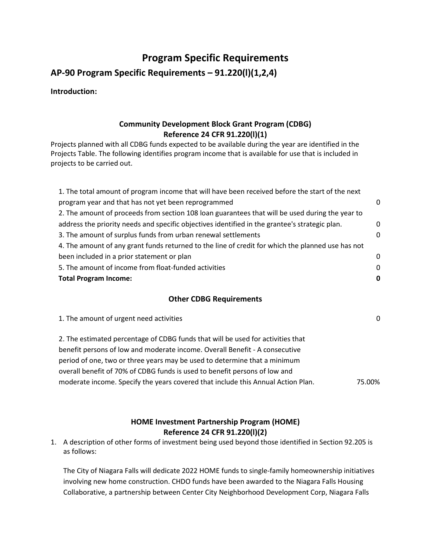## **Program Specific Requirements**

**AP-90 Program Specific Requirements – 91.220(l)(1,2,4)**

**Introduction:** 

#### **Community Development Block Grant Program (CDBG) Reference 24 CFR 91.220(l)(1)**

Projects planned with all CDBG funds expected to be available during the year are identified in the Projects Table. The following identifies program income that is available for use that is included in projects to be carried out.

#### **Other CDBG Requirements**

| 1. The amount of urgent need activities                                          | 0      |
|----------------------------------------------------------------------------------|--------|
| 2. The estimated percentage of CDBG funds that will be used for activities that  |        |
| benefit persons of low and moderate income. Overall Benefit - A consecutive      |        |
| period of one, two or three years may be used to determine that a minimum        |        |
| overall benefit of 70% of CDBG funds is used to benefit persons of low and       |        |
| moderate income. Specify the years covered that include this Annual Action Plan. | 75.00% |

#### **HOME Investment Partnership Program (HOME) Reference 24 CFR 91.220(l)(2)**

1. A description of other forms of investment being used beyond those identified in Section 92.205 is as follows:

The City of Niagara Falls will dedicate 2022 HOME funds to single-family homeownership initiatives involving new home construction. CHDO funds have been awarded to the Niagara Falls Housing Collaborative, a partnership between Center City Neighborhood Development Corp, Niagara Falls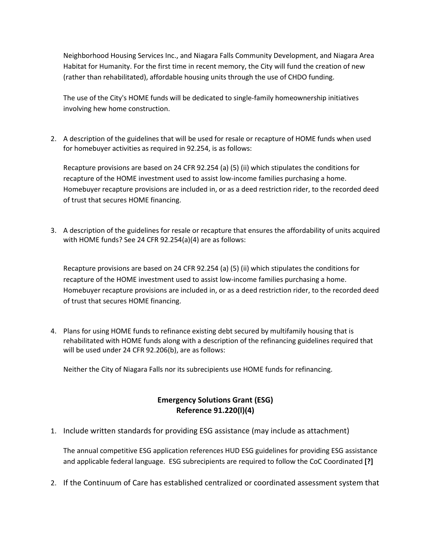Neighborhood Housing Services Inc., and Niagara Falls Community Development, and Niagara Area Habitat for Humanity. For the first time in recent memory, the City will fund the creation of new (rather than rehabilitated), affordable housing units through the use of CHDO funding.

The use of the City's HOME funds will be dedicated to single-family homeownership initiatives involving hew home construction.

2. A description of the guidelines that will be used for resale or recapture of HOME funds when used for homebuyer activities as required in 92.254, is as follows:

Recapture provisions are based on 24 CFR 92.254 (a) (5) (ii) which stipulates the conditions for recapture of the HOME investment used to assist low-income families purchasing a home. Homebuyer recapture provisions are included in, or as a deed restriction rider, to the recorded deed of trust that secures HOME financing.

3. A description of the guidelines for resale or recapture that ensures the affordability of units acquired with HOME funds? See 24 CFR 92.254(a)(4) are as follows:

Recapture provisions are based on 24 CFR 92.254 (a) (5) (ii) which stipulates the conditions for recapture of the HOME investment used to assist low-income families purchasing a home. Homebuyer recapture provisions are included in, or as a deed restriction rider, to the recorded deed of trust that secures HOME financing.

4. Plans for using HOME funds to refinance existing debt secured by multifamily housing that is rehabilitated with HOME funds along with a description of the refinancing guidelines required that will be used under 24 CFR 92.206(b), are as follows:

Neither the City of Niagara Falls nor its subrecipients use HOME funds for refinancing.

#### **Emergency Solutions Grant (ESG) Reference 91.220(l)(4)**

1. Include written standards for providing ESG assistance (may include as attachment)

The annual competitive ESG application references HUD ESG guidelines for providing ESG assistance and applicable federal language. ESG subrecipients are required to follow the CoC Coordinated **[?]**

2. If the Continuum of Care has established centralized or coordinated assessment system that